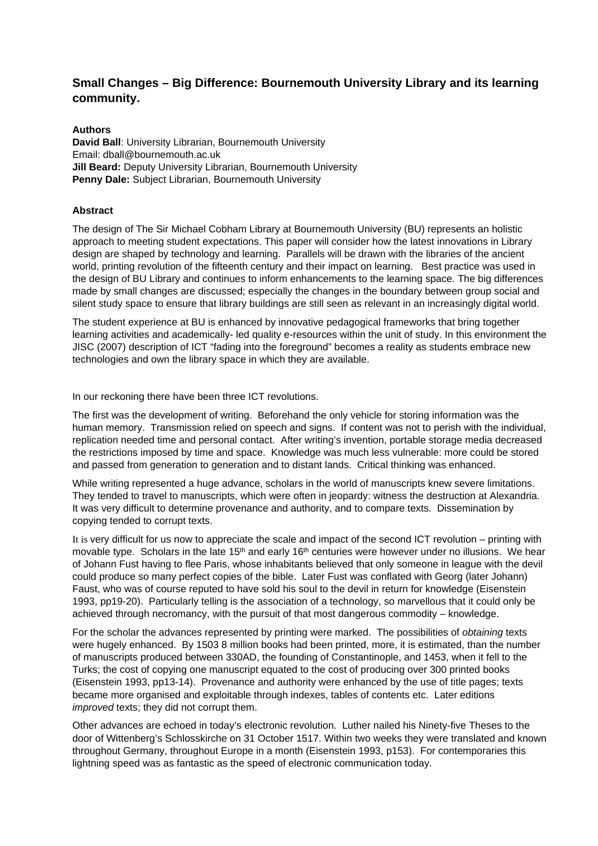# **Small Changes – Big Difference: Bournemouth University Library and its learning community.**

#### **Authors**

**David Ball**: University Librarian, Bournemouth University Email: dball@bournemouth.ac.uk **Jill Beard:** Deputy University Librarian, Bournemouth University **Penny Dale:** Subject Librarian, Bournemouth University

## **Abstract**

The design of The Sir Michael Cobham Library at Bournemouth University (BU) represents an holistic approach to meeting student expectations. This paper will consider how the latest innovations in Library design are shaped by technology and learning. Parallels will be drawn with the libraries of the ancient world, printing revolution of the fifteenth century and their impact on learning. Best practice was used in the design of BU Library and continues to inform enhancements to the learning space. The big differences made by small changes are discussed; especially the changes in the boundary between group social and silent study space to ensure that library buildings are still seen as relevant in an increasingly digital world.

The student experience at BU is enhanced by innovative pedagogical frameworks that bring together learning activities and academically- led quality e-resources within the unit of study. In this environment the JISC (2007) description of ICT "fading into the foreground" becomes a reality as students embrace new technologies and own the library space in which they are available.

In our reckoning there have been three ICT revolutions.

The first was the development of writing. Beforehand the only vehicle for storing information was the human memory. Transmission relied on speech and signs. If content was not to perish with the individual, replication needed time and personal contact. After writing's invention, portable storage media decreased the restrictions imposed by time and space. Knowledge was much less vulnerable: more could be stored and passed from generation to generation and to distant lands. Critical thinking was enhanced.

While writing represented a huge advance, scholars in the world of manuscripts knew severe limitations. They tended to travel to manuscripts, which were often in jeopardy: witness the destruction at Alexandria. It was very difficult to determine provenance and authority, and to compare texts. Dissemination by copying tended to corrupt texts.

It is very difficult for us now to appreciate the scale and impact of the second ICT revolution – printing with movable type. Scholars in the late 15<sup>th</sup> and early 16<sup>th</sup> centuries were however under no illusions. We hear of Johann Fust having to flee Paris, whose inhabitants believed that only someone in league with the devil could produce so many perfect copies of the bible. Later Fust was conflated with Georg (later Johann) Faust, who was of course reputed to have sold his soul to the devil in return for knowledge (Eisenstein 1993, pp19-20). Particularly telling is the association of a technology, so marvellous that it could only be achieved through necromancy, with the pursuit of that most dangerous commodity – knowledge.

For the scholar the advances represented by printing were marked. The possibilities of obtaining texts were hugely enhanced. By 1503 8 million books had been printed, more, it is estimated, than the number of manuscripts produced between 330AD, the founding of Constantinople, and 1453, when it fell to the Turks; the cost of copying one manuscript equated to the cost of producing over 300 printed books (Eisenstein 1993, pp13-14). Provenance and authority were enhanced by the use of title pages; texts became more organised and exploitable through indexes, tables of contents etc. Later editions improved texts; they did not corrupt them.

Other advances are echoed in today's electronic revolution. Luther nailed his Ninety-five Theses to the door of Wittenberg's Schlosskirche on 31 October 1517. Within two weeks they were translated and known throughout Germany, throughout Europe in a month (Eisenstein 1993, p153). For contemporaries this lightning speed was as fantastic as the speed of electronic communication today.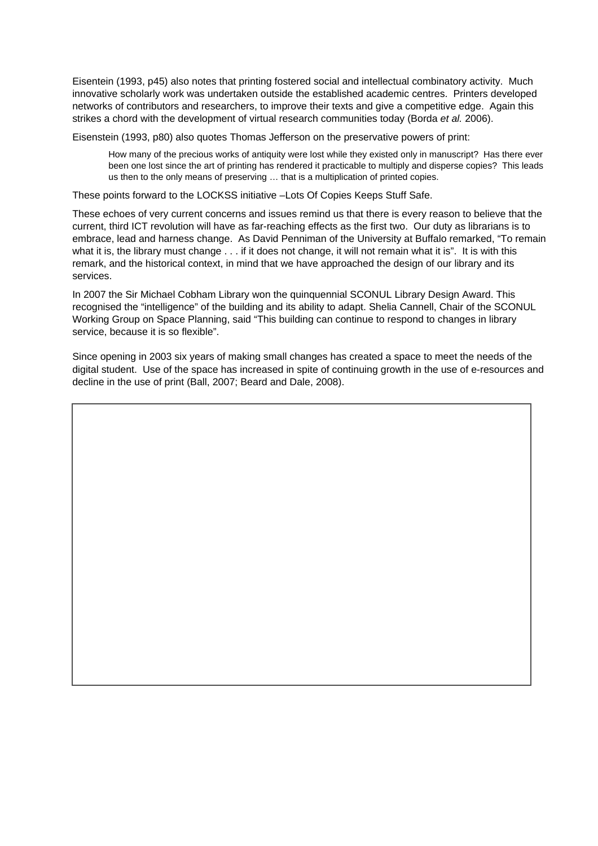Eisentein (1993, p45) also notes that printing fostered social and intellectual combinatory activity. Much innovative scholarly work was undertaken outside the established academic centres. Printers developed networks of contributors and researchers, to improve their texts and give a competitive edge. Again this strikes a chord with the development of virtual research communities today (Borda et al. 2006).

Eisenstein (1993, p80) also quotes Thomas Jefferson on the preservative powers of print:

How many of the precious works of antiquity were lost while they existed only in manuscript? Has there ever been one lost since the art of printing has rendered it practicable to multiply and disperse copies? This leads us then to the only means of preserving … that is a multiplication of printed copies.

These points forward to the LOCKSS initiative –Lots Of Copies Keeps Stuff Safe.

These echoes of very current concerns and issues remind us that there is every reason to believe that the current, third ICT revolution will have as far-reaching effects as the first two. Our duty as librarians is to embrace, lead and harness change. As David Penniman of the University at Buffalo remarked, "To remain what it is, the library must change . . . if it does not change, it will not remain what it is". It is with this remark, and the historical context, in mind that we have approached the design of our library and its services.

In 2007 the Sir Michael Cobham Library won the quinquennial SCONUL Library Design Award. This recognised the "intelligence" of the building and its ability to adapt. Shelia Cannell, Chair of the SCONUL Working Group on Space Planning, said "This building can continue to respond to changes in library service, because it is so flexible".

Since opening in 2003 six years of making small changes has created a space to meet the needs of the digital student. Use of the space has increased in spite of continuing growth in the use of e-resources and decline in the use of print (Ball, 2007; Beard and Dale, 2008).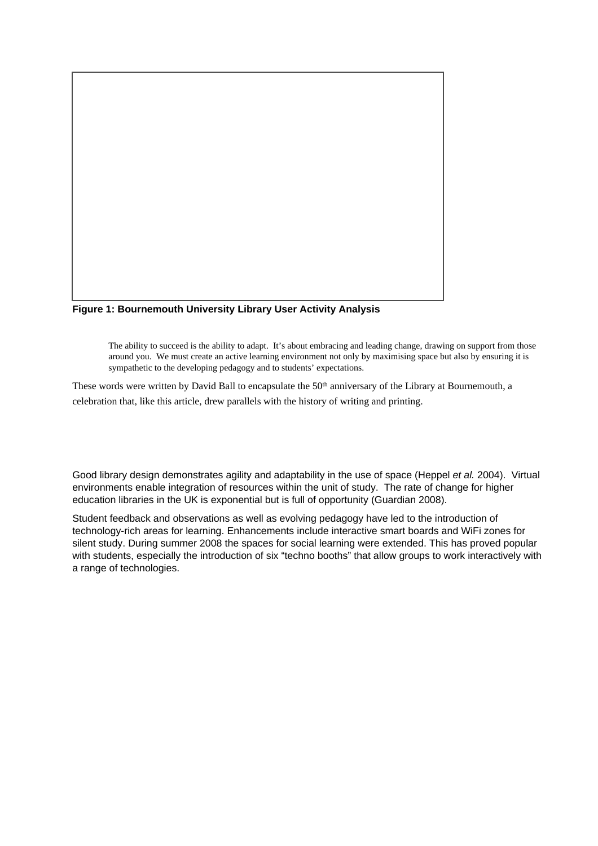

**Figure 1: Bournemouth University Library User Activity Analysis**

The ability to succeed is the ability to adapt. It's about embracing and leading change, drawing on support from those around you. We must create an active learning environment not only by maximising space but also by ensuring it is sympathetic to the developing pedagogy and to students' expectations.

These words were written by David Ball to encapsulate the 50<sup>th</sup> anniversary of the Library at Bournemouth, a celebration that, like this article, drew parallels with the history of writing and printing.

Good library design demonstrates agility and adaptability in the use of space (Heppel et al. 2004). Virtual environments enable integration of resources within the unit of study. The rate of change for higher education libraries in the UK is exponential but is full of opportunity (Guardian 2008).

Student feedback and observations as well as evolving pedagogy have led to the introduction of technology-rich areas for learning. Enhancements include interactive smart boards and WiFi zones for silent study. During summer 2008 the spaces for social learning were extended. This has proved popular with students, especially the introduction of six "techno booths" that allow groups to work interactively with a range of technologies.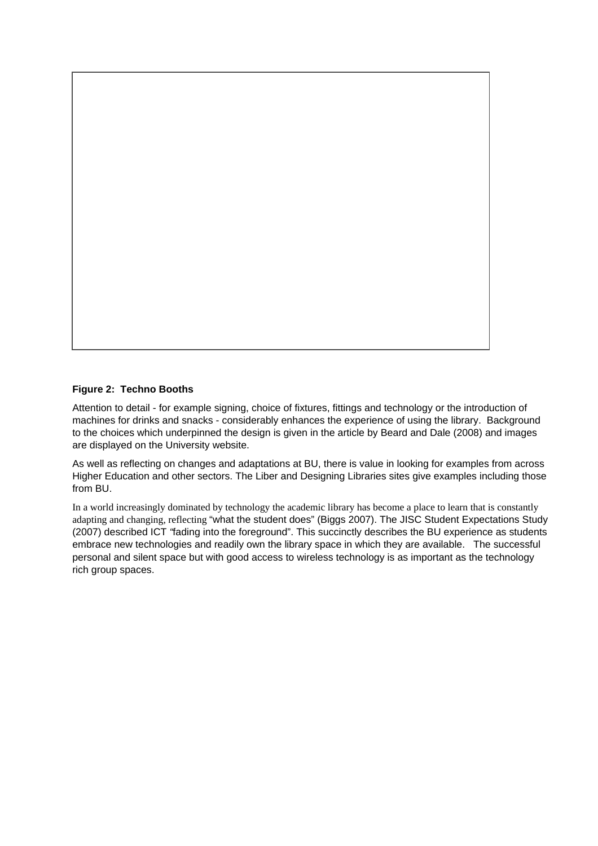

## **Figure 2: Techno Booths**

Attention to detail - for example signing, choice of fixtures, fittings and technology or the introduction of machines for drinks and snacks - considerably enhances the experience of using the library. Background to the choices which underpinned the design is given in the article by Beard and Dale (2008) and images are displayed on the University website.

As well as reflecting on changes and adaptations at BU, there is value in looking for examples from across Higher Education and other sectors. The Liber and Designing Libraries sites give examples including those from BU.

In a world increasingly dominated by technology the academic library has become a place to learn that is constantly adapting and changing, reflecting "what the student does" (Biggs 2007). The JISC Student Expectations Study (2007) described ICT "fading into the foreground". This succinctly describes the BU experience as students embrace new technologies and readily own the library space in which they are available. The successful personal and silent space but with good access to wireless technology is as important as the technology rich group spaces.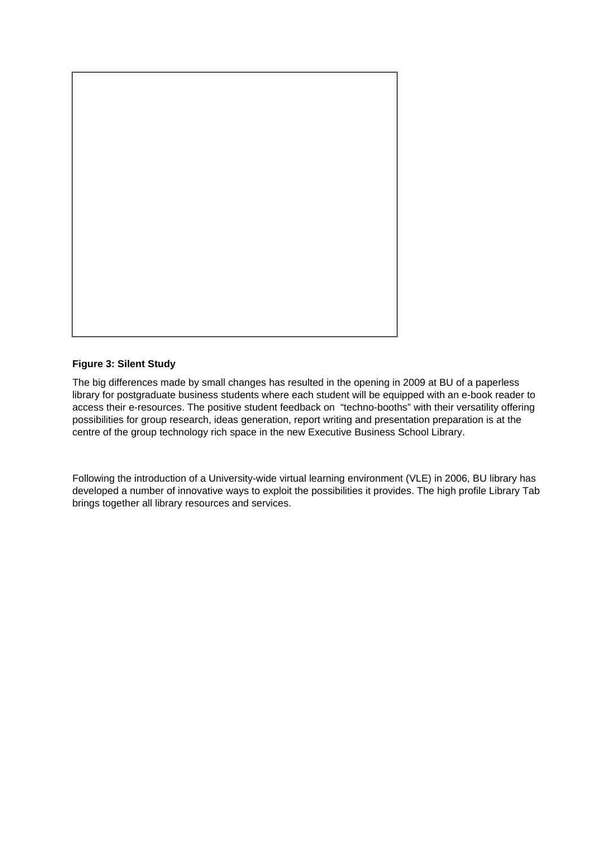

## **Figure 3: Silent Study**

The big differences made by small changes has resulted in the opening in 2009 at BU of a paperless library for postgraduate business students where each student will be equipped with an e-book reader to access their e-resources. The positive student feedback on "techno-booths" with their versatility offering possibilities for group research, ideas generation, report writing and presentation preparation is at the centre of the group technology rich space in the new Executive Business School Library.

Following the introduction of a University-wide virtual learning environment (VLE) in 2006, BU library has developed a number of innovative ways to exploit the possibilities it provides. The high profile Library Tab brings together all library resources and services.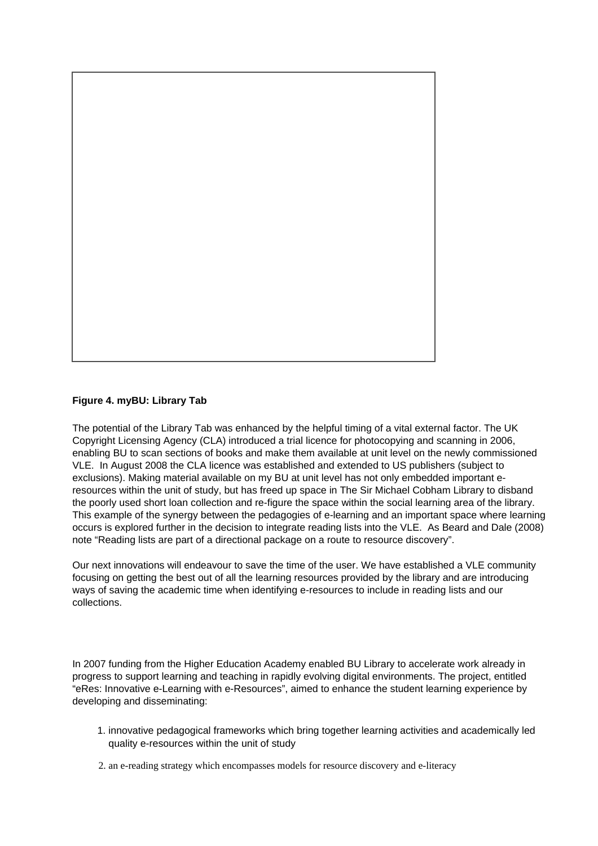

## **Figure 4. myBU: Library Tab**

The potential of the Library Tab was enhanced by the helpful timing of a vital external factor. The UK Copyright Licensing Agency (CLA) introduced a trial licence for photocopying and scanning in 2006, enabling BU to scan sections of books and make them available at unit level on the newly commissioned VLE. In August 2008 the CLA licence was established and extended to US publishers (subject to exclusions). Making material available on my BU at unit level has not only embedded important eresources within the unit of study, but has freed up space in The Sir Michael Cobham Library to disband the poorly used short loan collection and re-figure the space within the social learning area of the library. This example of the synergy between the pedagogies of e-learning and an important space where learning occurs is explored further in the decision to integrate reading lists into the VLE. As Beard and Dale (2008) note "Reading lists are part of a directional package on a route to resource discovery".

Our next innovations will endeavour to save the time of the user. We have established a VLE community focusing on getting the best out of all the learning resources provided by the library and are introducing ways of saving the academic time when identifying e-resources to include in reading lists and our collections.

In 2007 funding from the Higher Education Academy enabled BU Library to accelerate work already in progress to support learning and teaching in rapidly evolving digital environments. The project, entitled "eRes: Innovative e-Learning with e-Resources", aimed to enhance the student learning experience by developing and disseminating:

- 1. innovative pedagogical frameworks which bring together learning activities and academically led quality e-resources within the unit of study
- 2. an e-reading strategy which encompasses models for resource discovery and e-literacy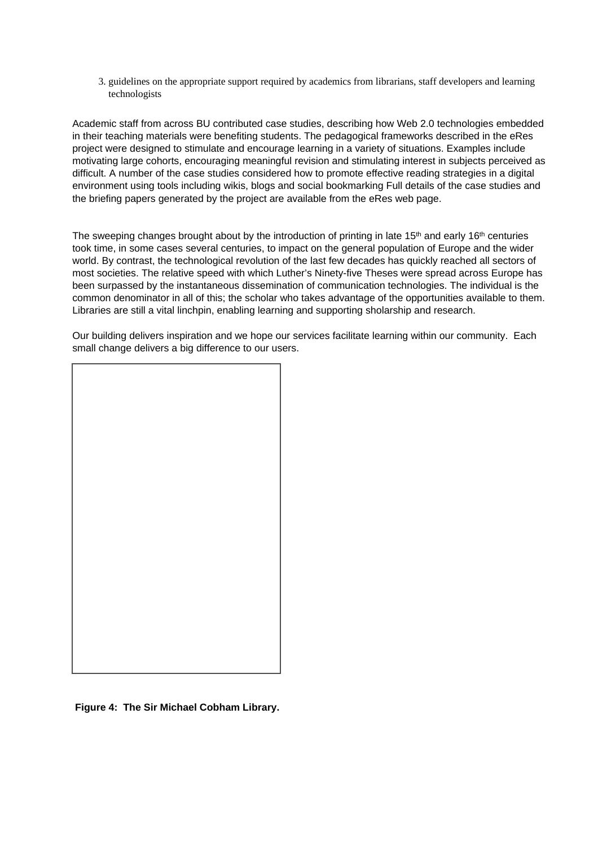3. guidelines on the appropriate support required by academics from librarians, staff developers and learning technologists

Academic staff from across BU contributed case studies, describing how Web 2.0 technologies embedded in their teaching materials were benefiting students. The pedagogical frameworks described in the eRes project were designed to stimulate and encourage learning in a variety of situations. Examples include motivating large cohorts, encouraging meaningful revision and stimulating interest in subjects perceived as difficult. A number of the case studies considered how to promote effective reading strategies in a digital environment using tools including wikis, blogs and social bookmarking Full details of the case studies and the briefing papers generated by the project are available from the eRes web page.

The sweeping changes brought about by the introduction of printing in late 15<sup>th</sup> and early 16<sup>th</sup> centuries took time, in some cases several centuries, to impact on the general population of Europe and the wider world. By contrast, the technological revolution of the last few decades has quickly reached all sectors of most societies. The relative speed with which Luther's Ninety-five Theses were spread across Europe has been surpassed by the instantaneous dissemination of communication technologies. The individual is the common denominator in all of this; the scholar who takes advantage of the opportunities available to them. Libraries are still a vital linchpin, enabling learning and supporting sholarship and research.

Our building delivers inspiration and we hope our services facilitate learning within our community. Each small change delivers a big difference to our users.



 **Figure 4: The Sir Michael Cobham Library.**